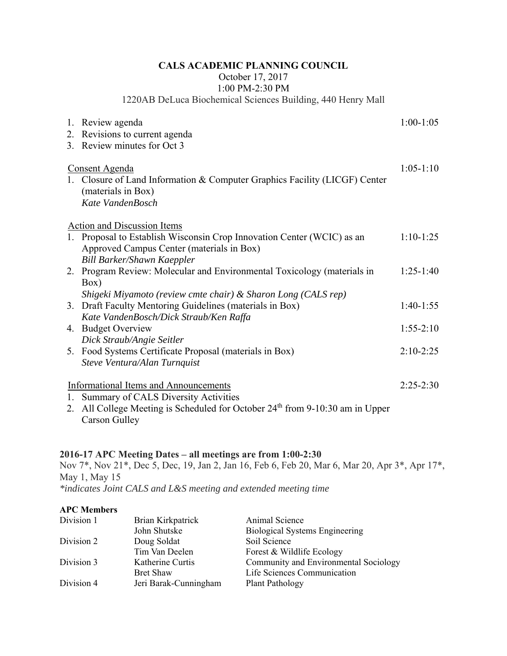## **CALS ACADEMIC PLANNING COUNCIL**

October 17, 2017

1:00 PM-2:30 PM

1220AB DeLuca Biochemical Sciences Building, 440 Henry Mall

|                                      | 1. Review agenda                                                             | $1:00-1:05$ |  |
|--------------------------------------|------------------------------------------------------------------------------|-------------|--|
|                                      | 2. Revisions to current agenda                                               |             |  |
|                                      | 3. Review minutes for Oct 3                                                  |             |  |
| $1:05-1:10$<br><b>Consent Agenda</b> |                                                                              |             |  |
|                                      | 1. Closure of Land Information & Computer Graphics Facility (LICGF) Center   |             |  |
|                                      | (materials in Box)                                                           |             |  |
|                                      | Kate VandenBosch                                                             |             |  |
|                                      |                                                                              |             |  |
|                                      | <b>Action and Discussion Items</b>                                           |             |  |
|                                      | 1. Proposal to Establish Wisconsin Crop Innovation Center (WCIC) as an       | $1:10-1:25$ |  |
|                                      | Approved Campus Center (materials in Box)                                    |             |  |
|                                      | <b>Bill Barker/Shawn Kaeppler</b>                                            |             |  |
|                                      | 2. Program Review: Molecular and Environmental Toxicology (materials in      | $1:25-1:40$ |  |
|                                      | Box)                                                                         |             |  |
|                                      | Shigeki Miyamoto (review cmte chair) & Sharon Long (CALS rep)                |             |  |
|                                      | 3. Draft Faculty Mentoring Guidelines (materials in Box)                     | $1:40-1:55$ |  |
|                                      | Kate VandenBosch/Dick Straub/Ken Raffa                                       |             |  |
|                                      | 4. Budget Overview                                                           | $1:55-2:10$ |  |
|                                      | Dick Straub/Angie Seitler                                                    |             |  |
|                                      | 5. Food Systems Certificate Proposal (materials in Box)                      | $2:10-2:25$ |  |
|                                      | Steve Ventura/Alan Turnquist                                                 |             |  |
|                                      |                                                                              |             |  |
|                                      | <b>Informational Items and Announcements</b>                                 | $2:25-2:30$ |  |
| 1.                                   | <b>Summary of CALS Diversity Activities</b>                                  |             |  |
| 2.                                   | All College Meeting is Scheduled for October $24th$ from 9-10:30 am in Upper |             |  |
|                                      | <b>Carson Gulley</b>                                                         |             |  |

## **2016-17 APC Meeting Dates – all meetings are from 1:00-2:30**

Nov 7\*, Nov 21\*, Dec 5, Dec, 19, Jan 2, Jan 16, Feb 6, Feb 20, Mar 6, Mar 20, Apr 3\*, Apr 17\*, May 1, May 15

*\*indicates Joint CALS and L&S meeting and extended meeting time* 

## **APC Members**

| Division 1 | Brian Kirkpatrick     | Animal Science                        |
|------------|-----------------------|---------------------------------------|
|            | John Shutske          | <b>Biological Systems Engineering</b> |
| Division 2 | Doug Soldat           | Soil Science                          |
|            | Tim Van Deelen        | Forest & Wildlife Ecology             |
| Division 3 | Katherine Curtis      | Community and Environmental Sociology |
|            | <b>Bret Shaw</b>      | Life Sciences Communication           |
| Division 4 | Jeri Barak-Cunningham | Plant Pathology                       |